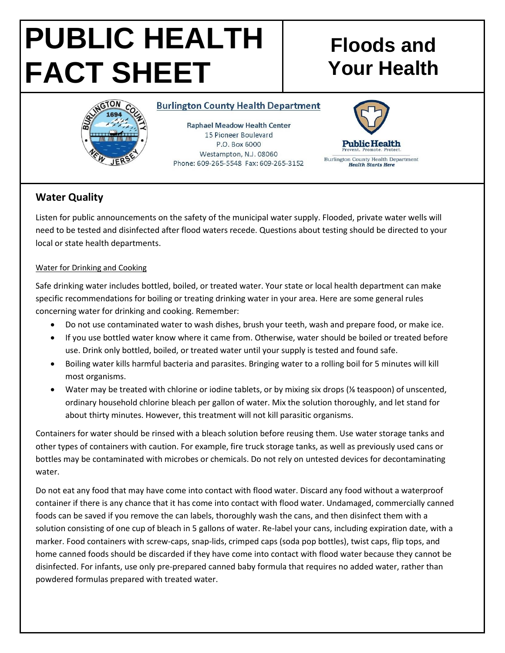# **PUBLIC HEALTH FACT SHEET**

# **Floods and Your Health**



#### **Burlington County Health Department**

**Raphael Meadow Health Center** 15 Pioneer Boulevard P.O. Box 6000 Westampton, N.J. 08060 Phone: 609-265-5548 Fax: 609-265-3152



## **Water Quality**

Listen for public announcements on the safety of the municipal water supply. Flooded, private water wells will need to be tested and disinfected after flood waters recede. Questions about testing should be directed to your local or state health departments.

#### Water for Drinking and Cooking

Safe drinking water includes bottled, boiled, or treated water. Your state or local health department can make specific recommendations for boiling or treating drinking water in your area. Here are some general rules concerning water for drinking and cooking. Remember:

- Do not use contaminated water to wash dishes, brush your teeth, wash and prepare food, or make ice.
- If you use bottled water know where it came from. Otherwise, water should be boiled or treated before use. Drink only bottled, boiled, or treated water until your supply is tested and found safe.
- Boiling water kills harmful bacteria and parasites. Bringing water to a rolling boil for 5 minutes will kill most organisms.
- Water may be treated with chlorine or iodine tablets, or by mixing six drops (% teaspoon) of unscented, ordinary household chlorine bleach per gallon of water. Mix the solution thoroughly, and let stand for about thirty minutes. However, this treatment will not kill parasitic organisms.

Containers for water should be rinsed with a bleach solution before reusing them. Use water storage tanks and other types of containers with caution. For example, fire truck storage tanks, as well as previously used cans or bottles may be contaminated with microbes or chemicals. Do not rely on untested devices for decontaminating water.

Do not eat any food that may have come into contact with flood water. Discard any food without a waterproof container if there is any chance that it has come into contact with flood water. Undamaged, commercially canned foods can be saved if you remove the can labels, thoroughly wash the cans, and then disinfect them with a solution consisting of one cup of bleach in 5 gallons of water. Re-label your cans, including expiration date, with a marker. Food containers with screw-caps, snap-lids, crimped caps (soda pop bottles), twist caps, flip tops, and home canned foods should be discarded if they have come into contact with flood water because they cannot be disinfected. For infants, use only pre-prepared canned baby formula that requires no added water, rather than powdered formulas prepared with treated water.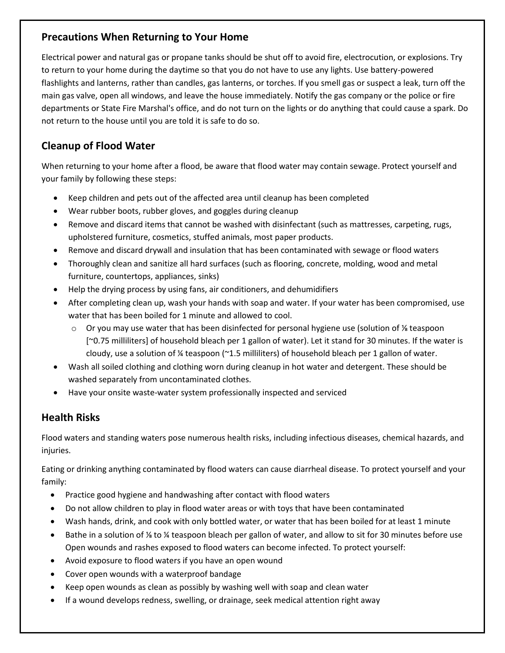## **Precautions When Returning to Your Home**

Electrical power and natural gas or propane tanks should be shut off to avoid fire, electrocution, or explosions. Try to return to your home during the daytime so that you do not have to use any lights. Use battery-powered flashlights and lanterns, rather than candles, gas lanterns, or torches. If you smell gas or suspect a leak, turn off the main gas valve, open all windows, and leave the house immediately. Notify the gas company or the police or fire departments or State Fire Marshal's office, and do not turn on the lights or do anything that could cause a spark. Do not return to the house until you are told it is safe to do so.

# **Cleanup of Flood Water**

When returning to your home after a flood, be aware that flood water may contain sewage. Protect yourself and your family by following these steps:

- Keep children and pets out of the affected area until cleanup has been completed
- Wear rubber boots, rubber gloves, and goggles during cleanup
- Remove and discard items that cannot be washed with disinfectant (such as mattresses, carpeting, rugs, upholstered furniture, cosmetics, stuffed animals, most paper products.
- Remove and discard drywall and insulation that has been contaminated with sewage or flood waters
- Thoroughly clean and sanitize all hard surfaces (such as flooring, concrete, molding, wood and metal furniture, countertops, appliances, sinks)
- Help the drying process by using fans, air conditioners, and dehumidifiers
- After completing clean up, wash your hands with soap and water. If your water has been compromised, use water that has been boiled for 1 minute and allowed to cool.
	- o Or you may use water that has been disinfected for personal hygiene use (solution of ⅛ teaspoon [~0.75 milliliters] of household bleach per 1 gallon of water). Let it stand for 30 minutes. If the water is cloudy, use a solution of  $\frac{1}{4}$  teaspoon (~1.5 milliliters) of household bleach per 1 gallon of water.
- Wash all soiled clothing and clothing worn during cleanup in hot water and detergent. These should be washed separately from uncontaminated clothes.
- Have your onsite waste-water system professionally inspected and serviced

# **Health Risks**

Flood waters and standing waters pose numerous health risks, including infectious diseases, chemical hazards, and injuries.

Eating or drinking anything contaminated by flood waters can cause diarrheal disease. To protect yourself and your family:

- Practice good hygiene and handwashing after contact with flood waters
- Do not allow children to play in flood water areas or with toys that have been contaminated
- Wash hands, drink, and cook with only bottled water, or water that has been boiled for at least 1 minute
- Bathe in a solution of ⅛ to ¼ teaspoon bleach per gallon of water, and allow to sit for 30 minutes before use Open wounds and rashes exposed to flood waters can become infected. To protect yourself:
- Avoid exposure to flood waters if you have an open wound
- Cover open wounds with a waterproof bandage
- Keep open wounds as clean as possibly by washing well with soap and clean water
- If a wound develops redness, swelling, or drainage, seek medical attention right away